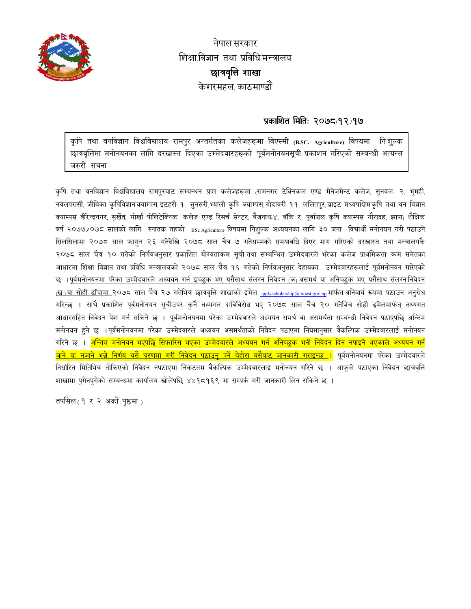

नेपाल सरकार शिक्षाविज्ञान तथा प्रविधि मन्त्रालय छात्रवृत्ति शाखा केशरमहल काठमाण्डौं

## प्रकाशित मितिः २०७८/१२/१७

कृषि तथा वनविज्ञान विश्वविद्यालय रामपुर अन्तर्गतका कलेजहरूमा विएस्सी (B.SC. Agriculture) विषयमा निःशुल्क छात्रवृत्तिमा मनोनयनका लागि दरखास्त दिएका उम्मेदवारहरूको पूर्वमनोनयनसूची प्रकाशन गरिएको सम्बन्धी अत्यन्त्त जरुरी सचना

कृषि तथा वनविज्ञान विश्वविद्यालय रामपुरबाट सम्बन्धन प्राप्त कलेजहरूमा (रामनगर टेक्निकल एण्ड मेनेजमेन्ट कलेज, सुनवल २, भुमही, नवलपरासी, जीविका कृषिविज्ञानक्याम्पस,इटहरी १, सुनसरी,भ्याली कृषि क्याम्पस,गोदावरी ११, ललितपुर,ब्राइट मध्यपश्चिमकृषि तथा वन विज्ञान क्याम्पस वीरेन्द्रनगर सुर्खेत गोर्खा पोलिटेक्निक कलेज एण्ड रिसर्च सेन्टर बैजनाथ ४, बाँके र पुर्वाञ्चल कृषि क्याम्पस गौरादह, झापा, शैक्षिक बर्ष २०७७/०७८ सालको लागि स्नातक तहको BSc Agriculture विषयमा निशुल्क अध्ययनका लागि ३० जना विद्यार्थी मनोनयन गरी पठाउने सिलसिलामा २०७८ साल फागुन २६ गतेदेखि २०७८ साल चैत्र ७ गतेसम्मको समयावधि दिएर माग गरिएको दरखास्त तथा मन्त्रालयकै २०७८ साल चैत्र १० गतेको निर्णयअनुसार प्रकाशित योग्यताक्रम सूची तथा सम्बन्धित उम्मेदवारले भरेका कलेज प्राथमिकता कम समेतका आधारमा शिक्षा विज्ञान तथा प्रविधि मन्त्रालयको २०७८ साल चैत्र १६ गतेको निर्णयअनुसार देहायका उम्मेदवारहरूलाई पूर्वमनोनयन गरिएको छ । <u>पर्वमनोनयनमा परेका उम्मेदवारले अध्ययन गर्न इच्छुक भए यसैसाथ संलग्न निवेदन (क) असमर्थ वा अनिच्छुक भए यसैसाथ संलग्ननिवेदन</u> <u>(ख)वा सोही ढाँचामा २</u>०७८ साल चैत्र २७ गतेभित्र छात्रवृत्ति शाखाको इमेल <sub>applyscholarship@moest.gov.np</sub> मार्फत अनिवार्य रूपमा पठाउन अनुरोध गरिन्छ । साथै प्रकाशित पूर्वमनोनयन सूचीउपर कुनै तथ्यगत दाविविरोध भए २०७८ साल चैत्र २० गतेभित्र सोही इमेलमार्फत् तथ्यगत आधारसहित निवेदन पेश गर्न सकिने छ । पूर्वमनोनयनमा परेका उम्मेदवारले अध्ययन समर्थ वा असमर्थता सम्बन्धी निवेदन पठाएपछि अन्तिम मनोनयन हुने छ ।पूर्वमनोनयनमा परेका उम्मेदवारले अध्ययन असमर्थताको निवेदन पठाएमा नियमानुसार वैकल्पिक उम्मेदवारलाई मनोनयन गरिने छ । <mark>अन्तिम मनोनयन भएपछि सिफारिस भएका उम्मेदवारले अध्ययन गर्न अनिच्छुक भनी निवेदन दिन नपाइने भएकाले अध्ययन गर्न</mark> <mark>जाने वा नजाने भन्ने निर्णय यसै चरणमा गरी निवेदन पठाउन पर्ने बेहोरा यसैबाट जानकारी गराइन्छ ।</mark> पूर्वमनोनयनमा परेका उम्मेदवारले निर्धारित मितिभित्र तोकिएको निवेदन नपठाएमा निकटतम वैकल्पिक उम्मेदवारलाई मनोनयन गरिने छ । आफूले पठाएका निवेदन छात्रवृत्ति शाखामा पुगेनपुगेको सम्बन्धमा कार्यालय खोलेपछि ४४१८१६९ मा सम्पर्क गरी जानकारी लिन सकिने छ ।

तपसिल $(9, 7, 8)$  अर्को पृष्ठमा $_0$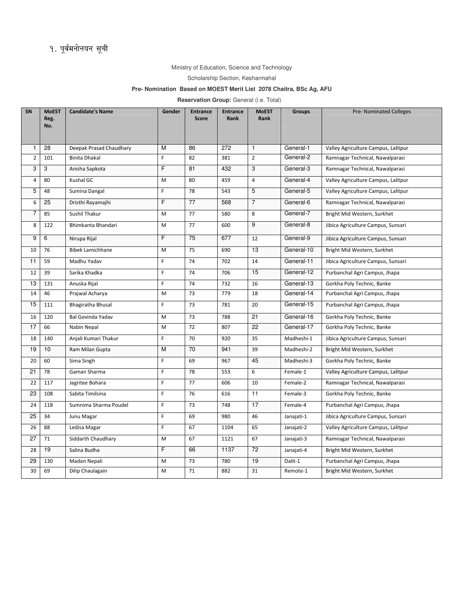## Ministry of Education, Science and Technology

## Scholarship Section, Kesharmahal

## **Pre- Nomination Based on MOEST Merit List 2078 Chaitra, BSc Ag, AFU**

**Reservation Group:** General (i.e. Total)

| SN             | <b>MoEST</b><br>Reg.<br>No. | <b>Candidate's Name</b>  | Gender | <b>Entrance</b><br>Score | <b>Entrance</b><br><b>Rank</b> | <b>MoEST</b><br>Rank | <b>Groups</b> | <b>Pre-Nominated Colleges</b>       |
|----------------|-----------------------------|--------------------------|--------|--------------------------|--------------------------------|----------------------|---------------|-------------------------------------|
| $\mathbf{1}$   | 28                          | Deepak Prasad Chaudhary  | M      | 86                       | 272                            | $\mathbf{1}$         | General-1     | Valley Agriculture Campus, Lalitpur |
| $\overline{2}$ | 101                         | <b>Binita Dhakal</b>     | F      | 82                       | 381                            | $\overline{2}$       | General-2     | Ramnagar Technical, Nawalparasi     |
| 3              | 3                           | Anisha Sapkota           | F      | 81                       | 432                            | 3                    | General-3     | Ramnagar Technical, Nawalparasi     |
| $\overline{4}$ | 80                          | Kushal GC                | M      | 80                       | 459                            | 4                    | General-4     | Valley Agriculture Campus, Lalitpur |
| 5              | 48                          | Sumina Dangal            | F      | 78                       | 543                            | 5                    | General-5     | Valley Agriculture Campus, Lalitpur |
| 6              | 25                          | Dristhi Rayamajhi        | F      | 77                       | 568                            | $\overline{7}$       | General-6     | Ramnagar Technical, Nawalparasi     |
| $\overline{7}$ | 85                          | Sushil Thakur            | M      | 77                       | 580                            | 8                    | General-7     | Bright Mid Western, Surkhet         |
| 8              | 122                         | Bhimkanta Bhandari       | M      | 77                       | 600                            | 9                    | General-8     | Jibica Agriculture Campus, Sunsari  |
| 9              | 6                           | Nirupa Rijal             | F      | 75                       | 677                            | 12                   | General-9     | Jibica Agriculture Campus, Sunsari  |
| 10             | 76                          | <b>Bibek Lamichhane</b>  | M      | 75                       | 690                            | 13                   | General-10    | Bright Mid Western, Surkhet         |
| 11             | 59                          | Madhu Yadav              | F      | 74                       | 702                            | 14                   | General-11    | Jibica Agriculture Campus, Sunsari  |
| 12             | 39                          | Sarika Khadka            | F      | 74                       | 706                            | 15                   | General-12    | Purbanchal Agri Campus, Jhapa       |
| 13             | 131                         | Anuska Rijal             | F      | 74                       | 732                            | 16                   | General-13    | Gorkha Poly Technic, Banke          |
| 14             | 46                          | Prajwal Acharya          | M      | 73                       | 779                            | 18                   | General-14    | Purbanchal Agri Campus, Jhapa       |
| 15             | 111                         | Bhagiratha Bhusal        | F      | 73                       | 781                            | 20                   | General-15    | Purbanchal Agri Campus, Jhapa       |
| 16             | 120                         | <b>Bal Govinda Yadav</b> | M      | 73                       | 788                            | 21                   | General-16    | Gorkha Poly Technic, Banke          |
| 17             | 66                          | Nabin Nepal              | M      | 72                       | 807                            | 22                   | General-17    | Gorkha Poly Technic, Banke          |
| 18             | 140                         | Anjali Kumari Thakur     | F      | 70                       | 920                            | 35                   | Madheshi-1    | Jibica Agriculture Campus, Sunsari  |
| 19             | 10                          | Ram Milan Gupta          | M      | 70                       | 941                            | 39                   | Madheshi-2    | Bright Mid Western, Surkhet         |
| 20             | 60                          | Sima Singh               | F      | 69                       | 967                            | 45                   | Madheshi-3    | Gorkha Poly Technic, Banke          |
| 21             | 78                          | Gaman Sharma             | F      | 78                       | 553                            | 6                    | Female-1      | Valley Agriculture Campus, Lalitpur |
| 22             | 117                         | Jagritee Bohara          | F      | 77                       | 606                            | 10                   | Female-2      | Ramnagar Technical, Nawalparasi     |
| 23             | 108                         | Sabita Timilsina         | F      | 76                       | 616                            | 11                   | Female-3      | Gorkha Poly Technic, Banke          |
| 24             | 118                         | Sumnima Sharma Poudel    | F      | 73                       | 748                            | 17                   | Female-4      | Purbanchal Agri Campus, Jhapa       |
| 25             | 34                          | Junu Magar               | F      | 69                       | 980                            | 46                   | Janajati-1    | Jibica Agriculture Campus, Sunsari  |
| 26             | 88                          | Ledisa Magar             | F      | 67                       | 1104                           | 65                   | Janajati-2    | Valley Agriculture Campus, Lalitpur |
| 27             | 71                          | Siddarth Chaudhary       | M      | 67                       | 1121                           | 67                   | Janajati-3    | Ramnagar Technical, Nawalparasi     |
| 28             | 19                          | Salina Budha             | F      | 66                       | 1137                           | 72                   | Janajati-4    | Bright Mid Western, Surkhet         |
| 29             | 130                         | Madan Nepali             | M      | 73                       | 780                            | 19                   | Dalit-1       | Purbanchal Agri Campus, Jhapa       |
| 30             | 69                          | Dilip Chaulagain         | M      | 71                       | 882                            | 31                   | Remote-1      | Bright Mid Western, Surkhet         |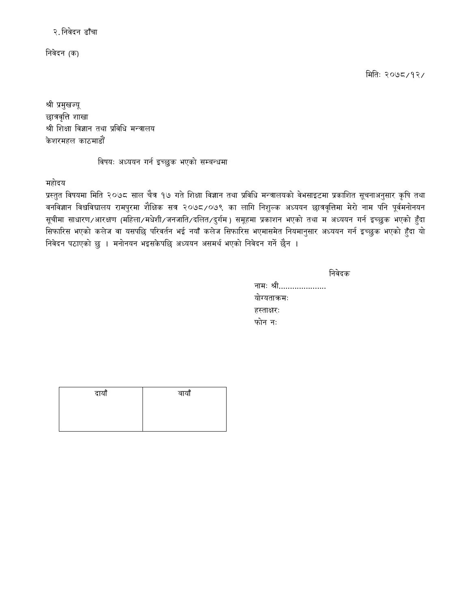२. निवेदन ढाँचा

निवेदन (क)

मितिः २०७८/१२/

श्री प्रमुखज्यू छात्रवृत्ति शाखा श्री शिक्षा विज्ञान तथा प्रविधि मन्त्रालय केशरमहल काठमाडौँ

विषयः अध्ययन गर्न इच्छुक भएको सम्बन्धमा

महोदय

प्रस्तुत विषयमा मिति २०७८ साल चैत्र १७ गते शिक्षा विज्ञान तथा प्रविधि मन्त्रालयको वेभसाइटमा प्रकाशित सूचनाअनुसार कृषि तथा वनविज्ञान विश्वविद्यालय रामपुरमा शैक्षिक सत्र २०७८/०७९ का लागि निशुल्क अध्ययन छात्रवृत्तिमा मेरो नाम पनि पूर्वमनोनयन सूचीमा साधारण∕आरक्षण (महिला∕मधेशी∕जनजाति∕दलित∕दुर्गम) समूहमा प्रकाशन भएको तथा म अध्ययन गर्न इच्छुक भएको हुँदा सिफारिस भएको कलेज वा यसपछि परिवर्तन भई नयाँ कलेज सिफारिस भएमासमेत नियमानुसार अध्ययन गर्न इच्छुक भएको हुँदा यो निवेदन पठाएको छु । मनोनयन भइसकेपछि अध्ययन असमर्थ भएको निवेदन गर्ने छैन ।

| о | с | , |
|---|---|---|
|   |   |   |
|   |   |   |

| नामः श्री    |
|--------------|
| योग्यताक्रमः |
| हस्ताक्षरः   |
| फोन नः       |

| दायाँ | बायाँ |
|-------|-------|
|       |       |
|       |       |
|       |       |